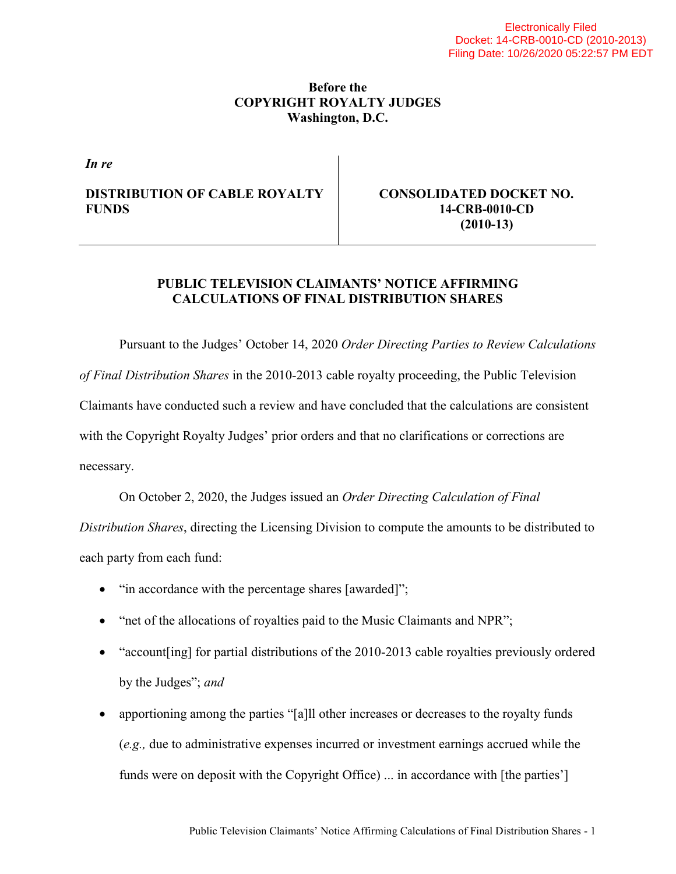#### **Before the COPYRIGHT ROYALTY JUDGES Washington, D.C.**

*In re*

#### **DISTRIBUTION OF CABLE ROYALTY FUNDS**

**CONSOLIDATED DOCKET NO. 14-CRB-0010-CD (2010-13)**

## **PUBLIC TELEVISION CLAIMANTS' NOTICE AFFIRMING CALCULATIONS OF FINAL DISTRIBUTION SHARES**

Pursuant to the Judges' October 14, 2020 *Order Directing Parties to Review Calculations of Final Distribution Shares* in the 2010-2013 cable royalty proceeding, the Public Television Claimants have conducted such a review and have concluded that the calculations are consistent with the Copyright Royalty Judges' prior orders and that no clarifications or corrections are necessary.

On October 2, 2020, the Judges issued an *Order Directing Calculation of Final* 

*Distribution Shares*, directing the Licensing Division to compute the amounts to be distributed to each party from each fund:

- "in accordance with the percentage shares [awarded]";
- "net of the allocations of royalties paid to the Music Claimants and NPR";
- "account [ing] for partial distributions of the 2010-2013 cable royalties previously ordered by the Judges"; *and*
- apportioning among the parties "[a]ll other increases or decreases to the royalty funds (*e.g.,* due to administrative expenses incurred or investment earnings accrued while the funds were on deposit with the Copyright Office) ... in accordance with [the parties']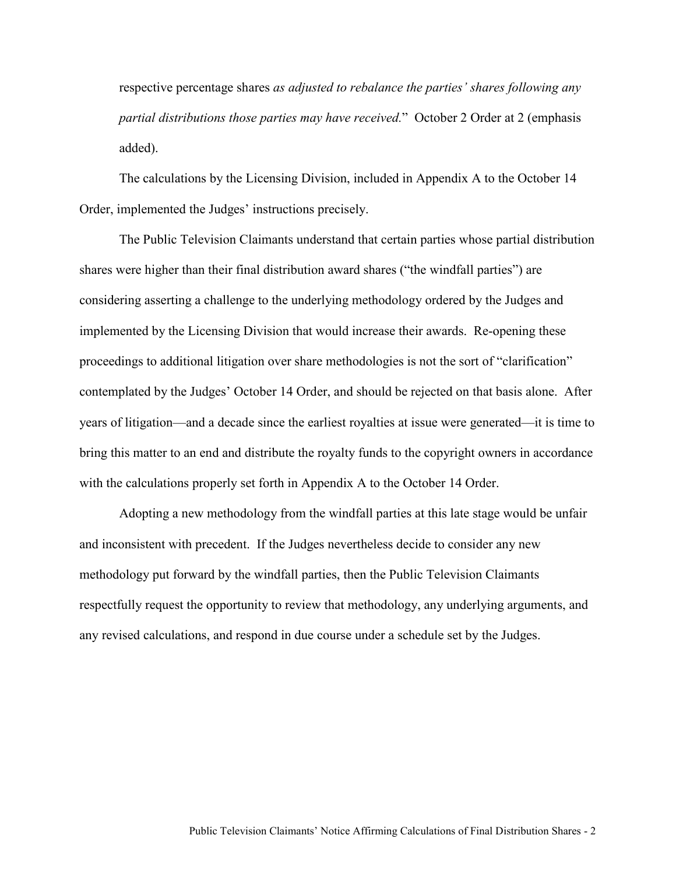respective percentage shares *as adjusted to rebalance the parties' shares following any partial distributions those parties may have received.*" October 2 Order at 2 (emphasis added).

The calculations by the Licensing Division, included in Appendix A to the October 14 Order, implemented the Judges' instructions precisely.

The Public Television Claimants understand that certain parties whose partial distribution shares were higher than their final distribution award shares ("the windfall parties") are considering asserting a challenge to the underlying methodology ordered by the Judges and implemented by the Licensing Division that would increase their awards. Re-opening these proceedings to additional litigation over share methodologies is not the sort of "clarification" contemplated by the Judges' October 14 Order, and should be rejected on that basis alone. After years of litigation—and a decade since the earliest royalties at issue were generated—it is time to bring this matter to an end and distribute the royalty funds to the copyright owners in accordance with the calculations properly set forth in Appendix A to the October 14 Order.

Adopting a new methodology from the windfall parties at this late stage would be unfair and inconsistent with precedent. If the Judges nevertheless decide to consider any new methodology put forward by the windfall parties, then the Public Television Claimants respectfully request the opportunity to review that methodology, any underlying arguments, and any revised calculations, and respond in due course under a schedule set by the Judges.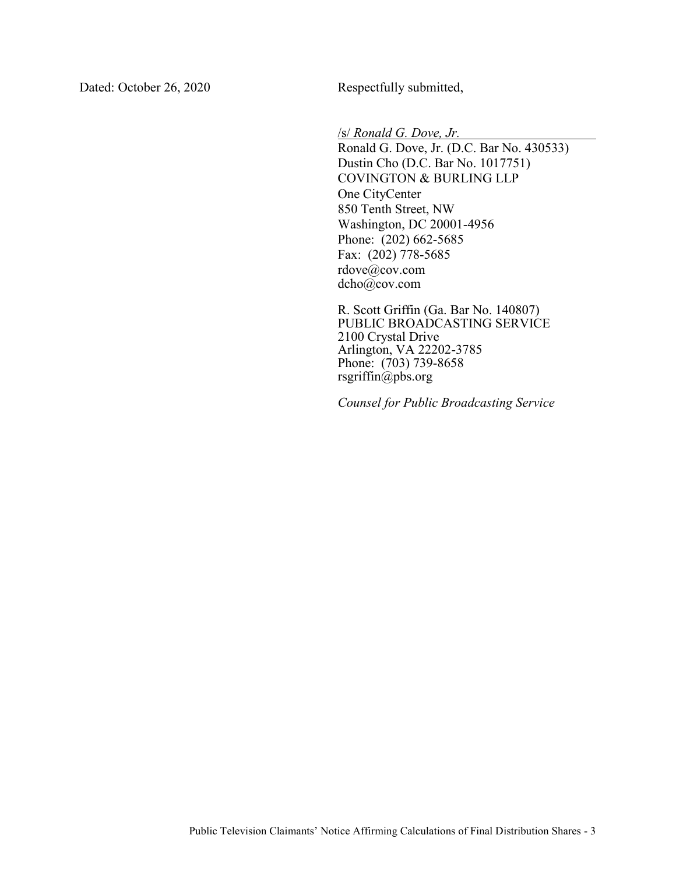Dated: October 26, 2020 Respectfully submitted,

/s/ *Ronald G. Dove, Jr.*

Ronald G. Dove, Jr. (D.C. Bar No. 430533) Dustin Cho (D.C. Bar No. 1017751) COVINGTON & BURLING LLP One CityCenter 850 Tenth Street, NW Washington, DC 20001-4956 Phone: (202) 662-5685 Fax: (202) 778-5685 rdove@cov.com dcho@cov.com

R. Scott Griffin (Ga. Bar No. 140807) PUBLIC BROADCASTING SERVICE 2100 Crystal Drive Arlington, VA 22202-3785 Phone: (703) 739-8658 rsgriffin@pbs.org

*Counsel for Public Broadcasting Service*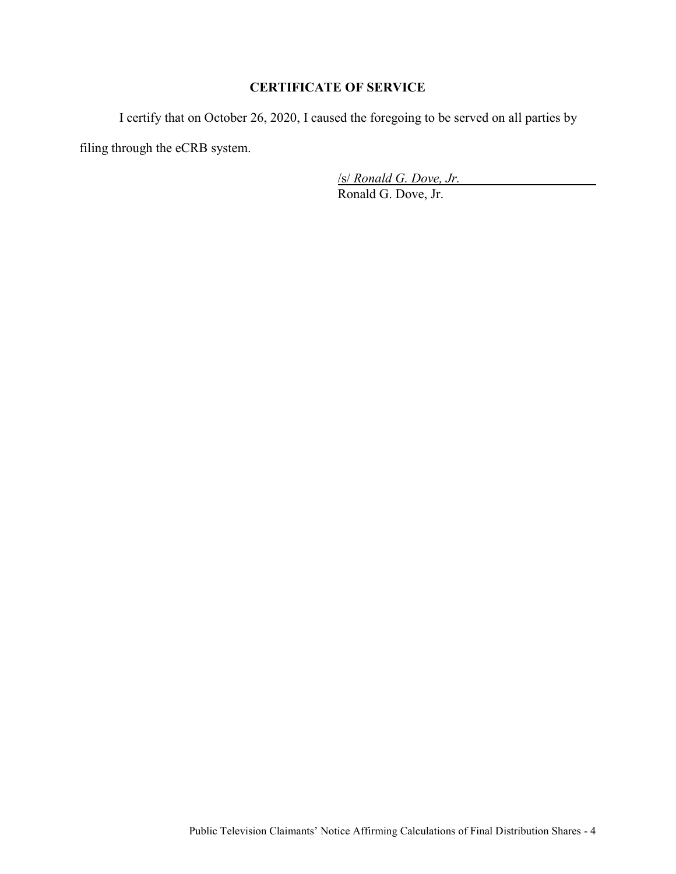## **CERTIFICATE OF SERVICE**

I certify that on October 26, 2020, I caused the foregoing to be served on all parties by

filing through the eCRB system.

/s/ *Ronald G. Dove, Jr.*

Ronald G. Dove, Jr.